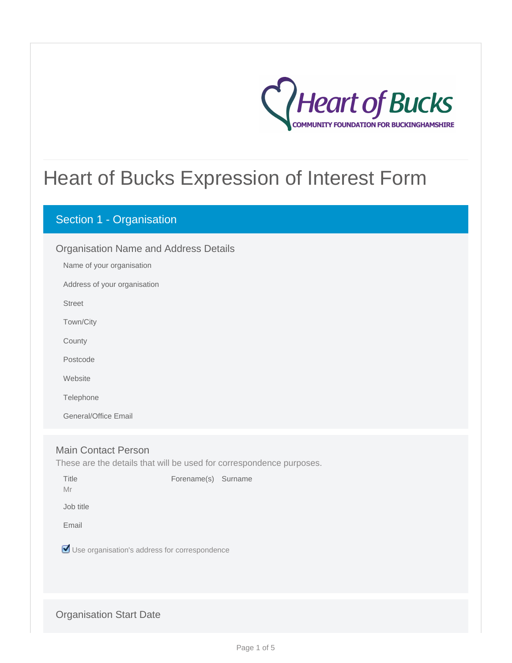

# Heart of Bucks Expression of Interest Form

# Section 1 - Organisation

| <b>Organisation Name and Address Details</b> |                              |  |  |  |
|----------------------------------------------|------------------------------|--|--|--|
|                                              | Name of your organisation    |  |  |  |
|                                              | Address of your organisation |  |  |  |
|                                              | <b>Street</b>                |  |  |  |
|                                              | Town/City                    |  |  |  |
|                                              | County                       |  |  |  |
|                                              | Postcode                     |  |  |  |
|                                              | Website                      |  |  |  |
|                                              | Telephone                    |  |  |  |
|                                              | General/Office Email         |  |  |  |
|                                              |                              |  |  |  |
|                                              |                              |  |  |  |

# Main Contact Person

These are the details that will be used for correspondence purposes.

Title **Forename(s)** Surname

Mr

Job title

Email

Use organisation's address for correspondence

## Organisation Start Date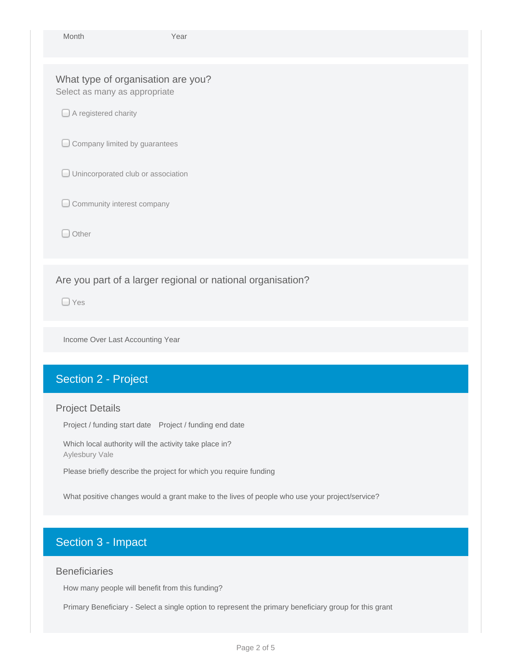| Month                                                               | Year                               |  |  |  |  |  |  |
|---------------------------------------------------------------------|------------------------------------|--|--|--|--|--|--|
| What type of organisation are you?<br>Select as many as appropriate |                                    |  |  |  |  |  |  |
| $\Box$ A registered charity                                         |                                    |  |  |  |  |  |  |
|                                                                     | Company limited by guarantees      |  |  |  |  |  |  |
|                                                                     | Unincorporated club or association |  |  |  |  |  |  |
| Community interest company                                          |                                    |  |  |  |  |  |  |
| $\Box$ Other                                                        |                                    |  |  |  |  |  |  |
| Are you part of a larger regional or national organisation?         |                                    |  |  |  |  |  |  |
| $\Box$ Yes                                                          |                                    |  |  |  |  |  |  |
| Income Over Last Accounting Year                                    |                                    |  |  |  |  |  |  |

# Section 2 - Project

### Project Details

Project / funding start date Project / funding end date

Which local authority will the activity take place in? Aylesbury Vale

Please briefly describe the project for which you require funding

What positive changes would a grant make to the lives of people who use your project/service?

# Section 3 - Impact

## **Beneficiaries**

How many people will benefit from this funding?

Primary Beneficiary - Select a single option to represent the primary beneficiary group for this grant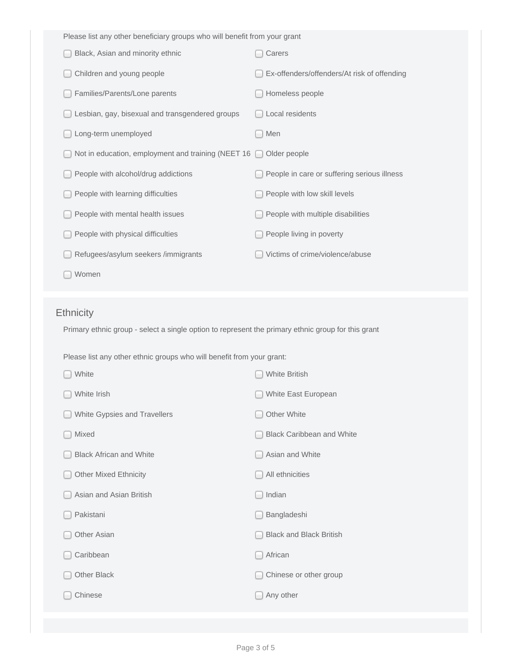| Please list any other beneficiary groups who will benefit from your grant                          |                                             |
|----------------------------------------------------------------------------------------------------|---------------------------------------------|
| Black, Asian and minority ethnic                                                                   | Carers                                      |
| Children and young people                                                                          | Ex-offenders/offenders/At risk of offending |
| Families/Parents/Lone parents                                                                      | Homeless people                             |
| Lesbian, gay, bisexual and transgendered groups                                                    | Local residents                             |
| Long-term unemployed                                                                               | Men                                         |
| Not in education, employment and training (NEET 16                                                 | Older people                                |
| People with alcohol/drug addictions                                                                | People in care or suffering serious illness |
| People with learning difficulties                                                                  | People with low skill levels                |
| People with mental health issues                                                                   | People with multiple disabilities           |
| People with physical difficulties                                                                  | People living in poverty                    |
| Refugees/asylum seekers /immigrants                                                                | Victims of crime/violence/abuse             |
| Women                                                                                              |                                             |
|                                                                                                    |                                             |
|                                                                                                    |                                             |
| <b>Ethnicity</b>                                                                                   |                                             |
| Primary ethnic group - select a single option to represent the primary ethnic group for this grant |                                             |
| Please list any other ethnic groups who will benefit from your grant:                              |                                             |
| White                                                                                              | <b>White British</b>                        |
| White Irish                                                                                        | White East European                         |
| White Gypsies and Travellers                                                                       | Other White                                 |
| Mixed                                                                                              | <b>Black Caribbean and White</b>            |
| <b>Black African and White</b>                                                                     | Asian and White                             |
| <b>Other Mixed Ethnicity</b>                                                                       | All ethnicities                             |
| Asian and Asian British                                                                            | Indian                                      |
| Pakistani                                                                                          | Bangladeshi                                 |
| Other Asian                                                                                        | <b>Black and Black British</b>              |
| Caribbean                                                                                          | African                                     |
| Other Black                                                                                        | Chinese or other group                      |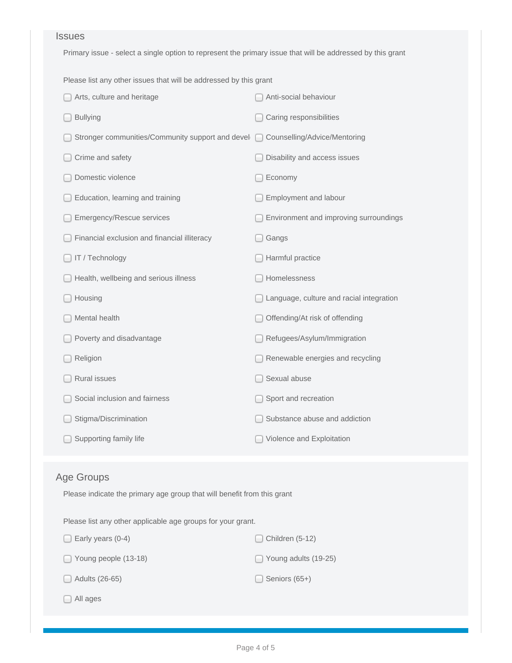#### Issues

Primary issue - select a single option to represent the primary issue that will be addressed by this grant

Please list any other issues that will be addressed by this grant

| Arts, culture and heritage                       | Anti-social behaviour                    |
|--------------------------------------------------|------------------------------------------|
| <b>Bullying</b>                                  | Caring responsibilities                  |
| Stronger communities/Community support and devel | Counselling/Advice/Mentoring<br>$\Box$   |
| Crime and safety                                 | Disability and access issues             |
| Domestic violence                                | Economy                                  |
| Education, learning and training                 | Employment and labour                    |
| <b>Emergency/Rescue services</b>                 | Environment and improving surroundings   |
| Financial exclusion and financial illiteracy     | Gangs                                    |
| IT / Technology                                  | Harmful practice                         |
| Health, wellbeing and serious illness            | Homelessness                             |
| Housing                                          | Language, culture and racial integration |
| Mental health                                    | Offending/At risk of offending           |
| Poverty and disadvantage                         | Refugees/Asylum/Immigration              |
| Religion                                         | Renewable energies and recycling         |
| <b>Rural issues</b>                              | Sexual abuse                             |
| Social inclusion and fairness                    | Sport and recreation                     |
| Stigma/Discrimination                            | Substance abuse and addiction            |
| Supporting family life                           | Violence and Exploitation                |

## Age Groups

Please indicate the primary age group that will benefit from this grant

Please list any other applicable age groups for your grant.

| Early years (0-4)<br>$\blacksquare$ | Children (5-12)             |
|-------------------------------------|-----------------------------|
| $\Box$ Young people (13-18)         | $\Box$ Young adults (19-25) |
| $\Box$ Adults (26-65)               | Seniors (65+)               |
| All ages                            |                             |